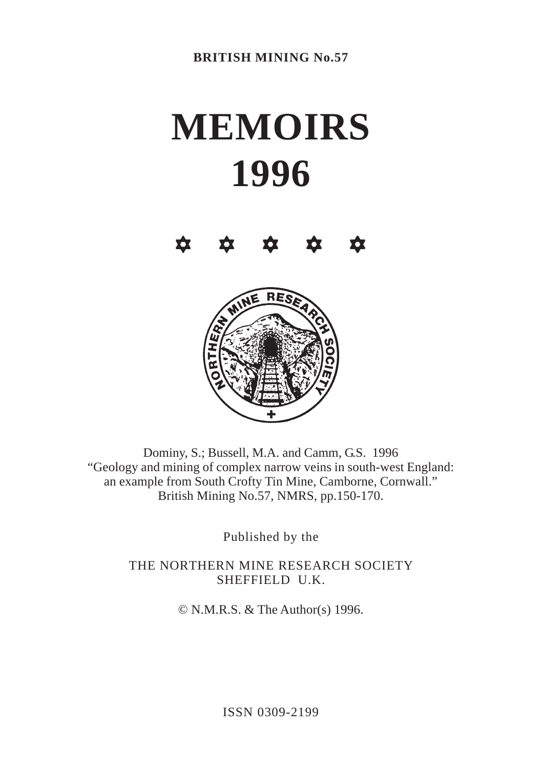# **MEMOIRS 1996**

 $\begin{array}{ccccccccccccccccc} \phi & \phi & \phi & \phi & \phi & \phi & \phi \end{array}$ 



Dominy, S.; Bussell, M.A. and Camm, G.S. 1996 "Geology and mining of complex narrow veins in south-west England: an example from South Crofty Tin Mine, Camborne, Cornwall." British Mining No.57, NMRS, pp.150-170.

Published by the

THE NORTHERN MINE RESEARCH SOCIETY SHEFFIELD U.K.

© N.M.R.S. & The Author(s) 1996.

ISSN 0309-2199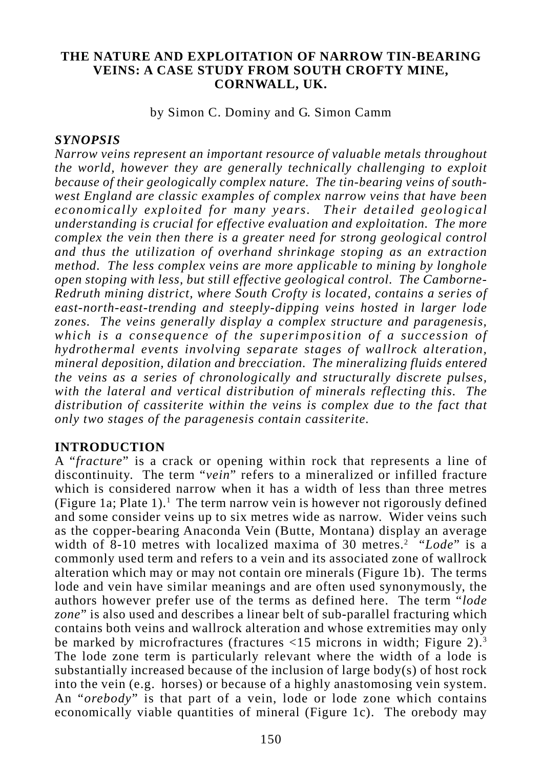#### **THE NATURE AND EXPLOITATION OF NARROW TIN-BEARING VEINS: A CASE STUDY FROM SOUTH CROFTY MINE, CORNWALL, UK.**

by Simon C. Dominy and G. Simon Camm

# *SYNOPSIS*

*Narrow veins represent an important resource of valuable metals throughout the world, however they are generally technically challenging to exploit because of their geologically complex nature. The tin-bearing veins of southwest England are classic examples of complex narrow veins that have been economically exploited for many years. Their detailed geological understanding is crucial for effective evaluation and exploitation. The more complex the vein then there is a greater need for strong geological control and thus the utilization of overhand shrinkage stoping as an extraction method. The less complex veins are more applicable to mining by longhole open stoping with less, but still effective geological control. The Camborne-Redruth mining district, where South Crofty is located, contains a series of east-north-east-trending and steeply-dipping veins hosted in larger lode zones. The veins generally display a complex structure and paragenesis, which is a consequence of the superimposition of a succession of hydrothermal events involving separate stages of wallrock alteration, mineral deposition, dilation and brecciation. The mineralizing fluids entered the veins as a series of chronologically and structurally discrete pulses, with the lateral and vertical distribution of minerals reflecting this. The distribution of cassiterite within the veins is complex due to the fact that only two stages of the paragenesis contain cassiterite.*

#### **INTRODUCTION**

A "*fracture*" is a crack or opening within rock that represents a line of discontinuity. The term "*vein*" refers to a mineralized or infilled fracture which is considered narrow when it has a width of less than three metres (Figure 1a; Plate 1).<sup>1</sup> The term narrow vein is however not rigorously defined and some consider veins up to six metres wide as narrow. Wider veins such as the copper-bearing Anaconda Vein (Butte, Montana) display an average width of 8-10 metres with localized maxima of 30 metres.<sup>2</sup> "Lode" is a commonly used term and refers to a vein and its associated zone of wallrock alteration which may or may not contain ore minerals (Figure 1b). The terms lode and vein have similar meanings and are often used synonymously, the authors however prefer use of the terms as defined here. The term "*lode zone*" is also used and describes a linear belt of sub-parallel fracturing which contains both veins and wallrock alteration and whose extremities may only be marked by microfractures (fractures  $\langle 15 \text{ microns in width:}$  Figure 2).<sup>3</sup> The lode zone term is particularly relevant where the width of a lode is substantially increased because of the inclusion of large body(s) of host rock into the vein (e.g. horses) or because of a highly anastomosing vein system. An "*orebody*" is that part of a vein, lode or lode zone which contains economically viable quantities of mineral (Figure 1c). The orebody may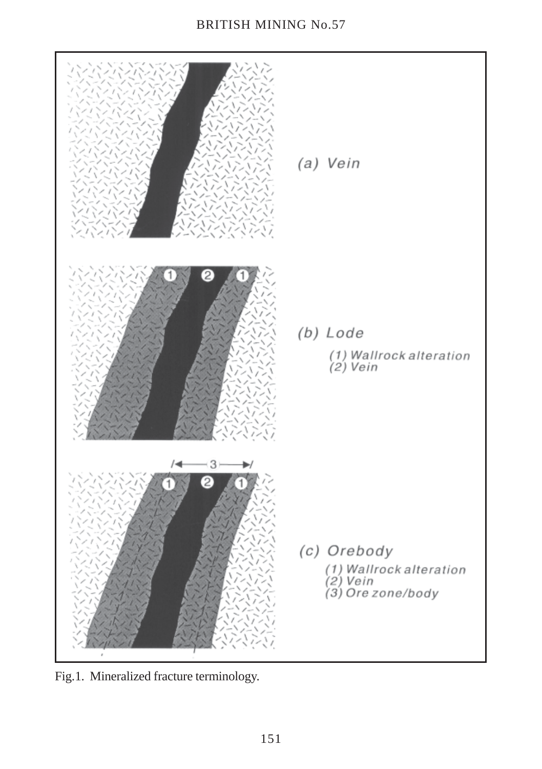# BRITISH MINING No.57



Fig.1. Mineralized fracture terminology.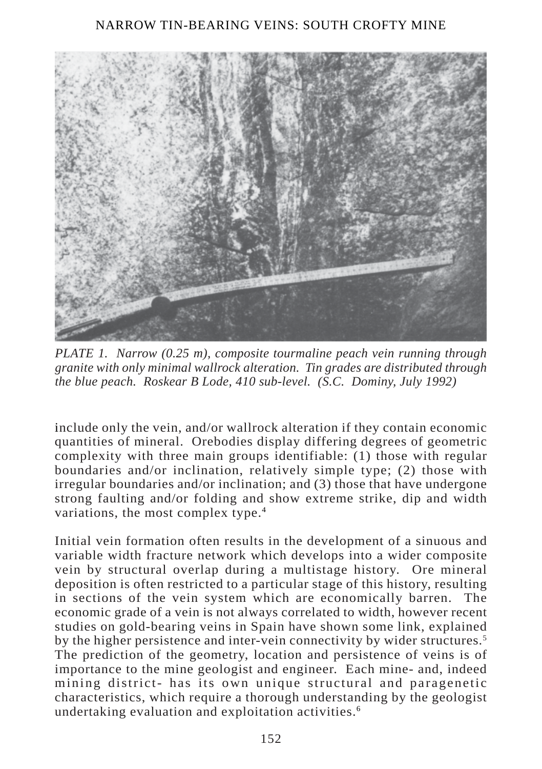

*PLATE 1. Narrow (0.25 m), composite tourmaline peach vein running through granite with only minimal wallrock alteration. Tin grades are distributed through the blue peach. Roskear B Lode, 410 sub-level. (S.C. Dominy, July 1992)*

include only the vein, and/or wallrock alteration if they contain economic quantities of mineral. Orebodies display differing degrees of geometric complexity with three main groups identifiable: (1) those with regular boundaries and/or inclination, relatively simple type; (2) those with irregular boundaries and/or inclination; and (3) those that have undergone strong faulting and/or folding and show extreme strike, dip and width variations, the most complex type.<sup>4</sup>

Initial vein formation often results in the development of a sinuous and variable width fracture network which develops into a wider composite vein by structural overlap during a multistage history. Ore mineral deposition is often restricted to a particular stage of this history, resulting in sections of the vein system which are economically barren. The economic grade of a vein is not always correlated to width, however recent studies on gold-bearing veins in Spain have shown some link, explained by the higher persistence and inter-vein connectivity by wider structures.<sup>5</sup> The prediction of the geometry, location and persistence of veins is of importance to the mine geologist and engineer. Each mine- and, indeed mining district- has its own unique structural and paragenetic characteristics, which require a thorough understanding by the geologist undertaking evaluation and exploitation activities.6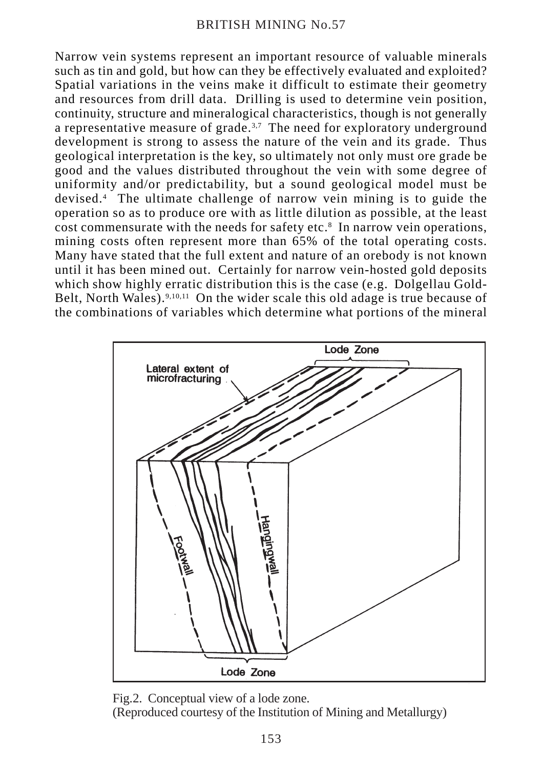Narrow vein systems represent an important resource of valuable minerals such as tin and gold, but how can they be effectively evaluated and exploited? Spatial variations in the veins make it difficult to estimate their geometry and resources from drill data. Drilling is used to determine vein position, continuity, structure and mineralogical characteristics, though is not generally a representative measure of grade.<sup>3,7</sup> The need for exploratory underground development is strong to assess the nature of the vein and its grade. Thus geological interpretation is the key, so ultimately not only must ore grade be good and the values distributed throughout the vein with some degree of uniformity and/or predictability, but a sound geological model must be devised.4 The ultimate challenge of narrow vein mining is to guide the operation so as to produce ore with as little dilution as possible, at the least cost commensurate with the needs for safety etc.<sup>8</sup> In narrow vein operations, mining costs often represent more than 65% of the total operating costs. Many have stated that the full extent and nature of an orebody is not known until it has been mined out. Certainly for narrow vein-hosted gold deposits which show highly erratic distribution this is the case (e.g. Dolgellau Gold-Belt. North Wales).<sup>9,10,11</sup> On the wider scale this old adage is true because of the combinations of variables which determine what portions of the mineral



Fig.2. Conceptual view of a lode zone. (Reproduced courtesy of the Institution of Mining and Metallurgy)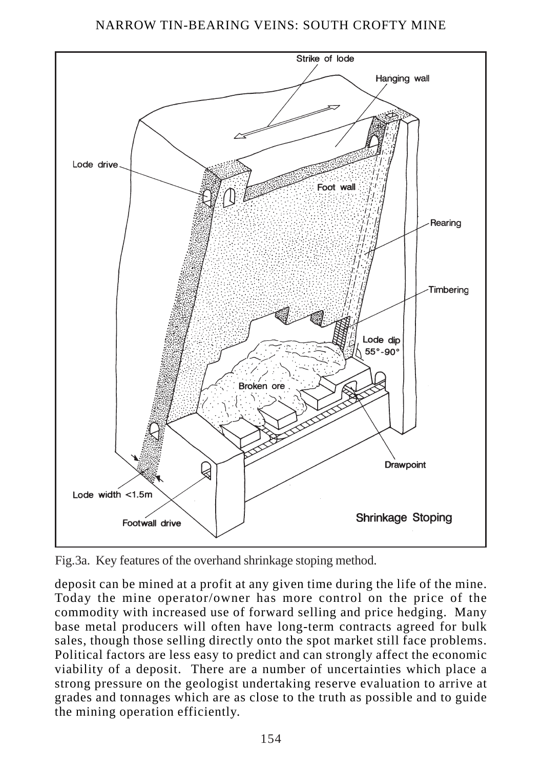

Fig.3a. Key features of the overhand shrinkage stoping method.

deposit can be mined at a profit at any given time during the life of the mine. Today the mine operator/owner has more control on the price of the commodity with increased use of forward selling and price hedging. Many base metal producers will often have long-term contracts agreed for bulk sales, though those selling directly onto the spot market still face problems. Political factors are less easy to predict and can strongly affect the economic viability of a deposit. There are a number of uncertainties which place a strong pressure on the geologist undertaking reserve evaluation to arrive at grades and tonnages which are as close to the truth as possible and to guide the mining operation efficiently.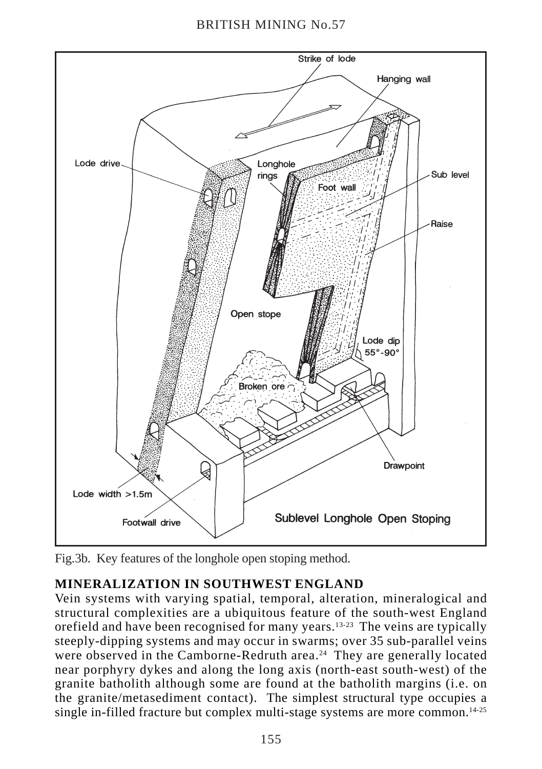

Fig.3b. Key features of the longhole open stoping method.

# **MINERALIZATION IN SOUTHWEST ENGLAND**

Vein systems with varying spatial, temporal, alteration, mineralogical and structural complexities are a ubiquitous feature of the south-west England orefield and have been recognised for many years.13-23 The veins are typically steeply-dipping systems and may occur in swarms; over 35 sub-parallel veins were observed in the Camborne-Redruth area.<sup>24</sup> They are generally located near porphyry dykes and along the long axis (north-east south-west) of the granite batholith although some are found at the batholith margins (i.e. on the granite/metasediment contact). The simplest structural type occupies a single in-filled fracture but complex multi-stage systems are more common.<sup>14-25</sup>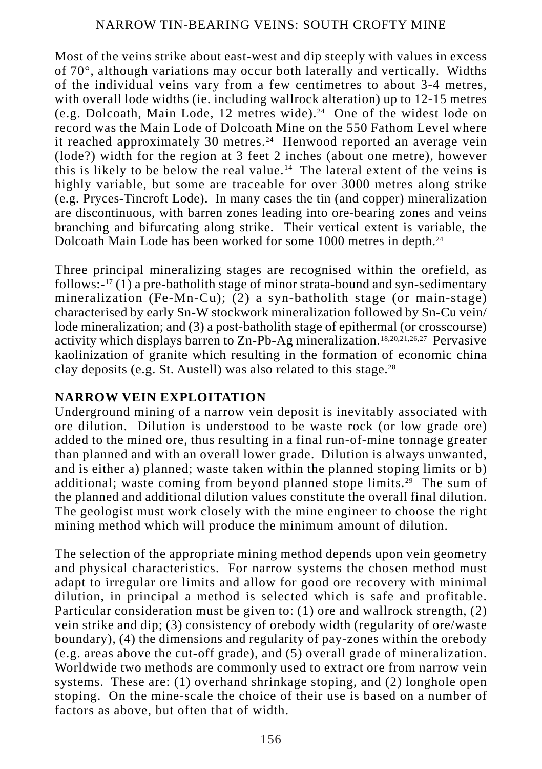Most of the veins strike about east-west and dip steeply with values in excess of 70°, although variations may occur both laterally and vertically. Widths of the individual veins vary from a few centimetres to about 3-4 metres, with overall lode widths (ie. including wallrock alteration) up to 12-15 metres (e.g. Dolcoath, Main Lode, 12 metres wide).24 One of the widest lode on record was the Main Lode of Dolcoath Mine on the 550 Fathom Level where it reached approximately 30 metres.<sup>24</sup> Henwood reported an average vein (lode?) width for the region at 3 feet 2 inches (about one metre), however this is likely to be below the real value.<sup>14</sup> The lateral extent of the veins is highly variable, but some are traceable for over 3000 metres along strike (e.g. Pryces-Tincroft Lode). In many cases the tin (and copper) mineralization are discontinuous, with barren zones leading into ore-bearing zones and veins branching and bifurcating along strike. Their vertical extent is variable, the Dolcoath Main Lode has been worked for some 1000 metres in depth.24

Three principal mineralizing stages are recognised within the orefield, as follows:- $17(1)$  a pre-batholith stage of minor strata-bound and syn-sedimentary mineralization (Fe-Mn-Cu); (2) a syn-batholith stage (or main-stage) characterised by early Sn-W stockwork mineralization followed by Sn-Cu vein/ lode mineralization; and (3) a post-batholith stage of epithermal (or crosscourse) activity which displays barren to Zn-Pb-Ag mineralization.18,20,21,26,27 Pervasive kaolinization of granite which resulting in the formation of economic china clay deposits (e.g. St. Austell) was also related to this stage.28

#### **NARROW VEIN EXPLOITATION**

Underground mining of a narrow vein deposit is inevitably associated with ore dilution. Dilution is understood to be waste rock (or low grade ore) added to the mined ore, thus resulting in a final run-of-mine tonnage greater than planned and with an overall lower grade. Dilution is always unwanted, and is either a) planned; waste taken within the planned stoping limits or b) additional; waste coming from beyond planned stope limits.29 The sum of the planned and additional dilution values constitute the overall final dilution. The geologist must work closely with the mine engineer to choose the right mining method which will produce the minimum amount of dilution.

The selection of the appropriate mining method depends upon vein geometry and physical characteristics. For narrow systems the chosen method must adapt to irregular ore limits and allow for good ore recovery with minimal dilution, in principal a method is selected which is safe and profitable. Particular consideration must be given to:  $(1)$  ore and wallrock strength,  $(2)$ vein strike and dip; (3) consistency of orebody width (regularity of ore/waste boundary), (4) the dimensions and regularity of pay-zones within the orebody (e.g. areas above the cut-off grade), and (5) overall grade of mineralization. Worldwide two methods are commonly used to extract ore from narrow vein systems. These are: (1) overhand shrinkage stoping, and (2) longhole open stoping. On the mine-scale the choice of their use is based on a number of factors as above, but often that of width.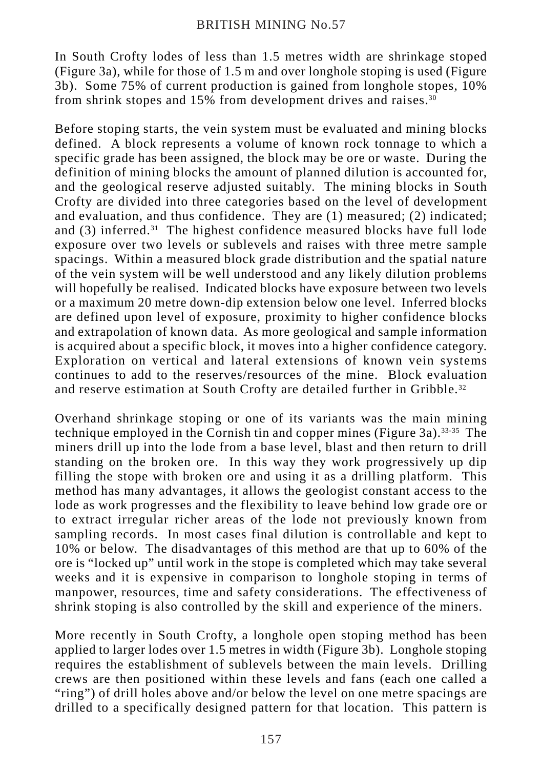In South Crofty lodes of less than 1.5 metres width are shrinkage stoped (Figure 3a), while for those of 1.5 m and over longhole stoping is used (Figure 3b). Some 75% of current production is gained from longhole stopes, 10% from shrink stopes and 15% from development drives and raises.<sup>30</sup>

Before stoping starts, the vein system must be evaluated and mining blocks defined. A block represents a volume of known rock tonnage to which a specific grade has been assigned, the block may be ore or waste. During the definition of mining blocks the amount of planned dilution is accounted for, and the geological reserve adjusted suitably. The mining blocks in South Crofty are divided into three categories based on the level of development and evaluation, and thus confidence. They are (1) measured; (2) indicated; and  $(3)$  inferred.<sup>31</sup> The highest confidence measured blocks have full lode exposure over two levels or sublevels and raises with three metre sample spacings. Within a measured block grade distribution and the spatial nature of the vein system will be well understood and any likely dilution problems will hopefully be realised. Indicated blocks have exposure between two levels or a maximum 20 metre down-dip extension below one level. Inferred blocks are defined upon level of exposure, proximity to higher confidence blocks and extrapolation of known data. As more geological and sample information is acquired about a specific block, it moves into a higher confidence category. Exploration on vertical and lateral extensions of known vein systems continues to add to the reserves/resources of the mine. Block evaluation and reserve estimation at South Crofty are detailed further in Gribble.<sup>32</sup>

Overhand shrinkage stoping or one of its variants was the main mining technique employed in the Cornish tin and copper mines (Figure 3a).33-35 The miners drill up into the lode from a base level, blast and then return to drill standing on the broken ore. In this way they work progressively up dip filling the stope with broken ore and using it as a drilling platform. This method has many advantages, it allows the geologist constant access to the lode as work progresses and the flexibility to leave behind low grade ore or to extract irregular richer areas of the lode not previously known from sampling records. In most cases final dilution is controllable and kept to 10% or below. The disadvantages of this method are that up to 60% of the ore is "locked up" until work in the stope is completed which may take several weeks and it is expensive in comparison to longhole stoping in terms of manpower, resources, time and safety considerations. The effectiveness of shrink stoping is also controlled by the skill and experience of the miners.

More recently in South Crofty, a longhole open stoping method has been applied to larger lodes over 1.5 metres in width (Figure 3b). Longhole stoping requires the establishment of sublevels between the main levels. Drilling crews are then positioned within these levels and fans (each one called a "ring") of drill holes above and/or below the level on one metre spacings are drilled to a specifically designed pattern for that location. This pattern is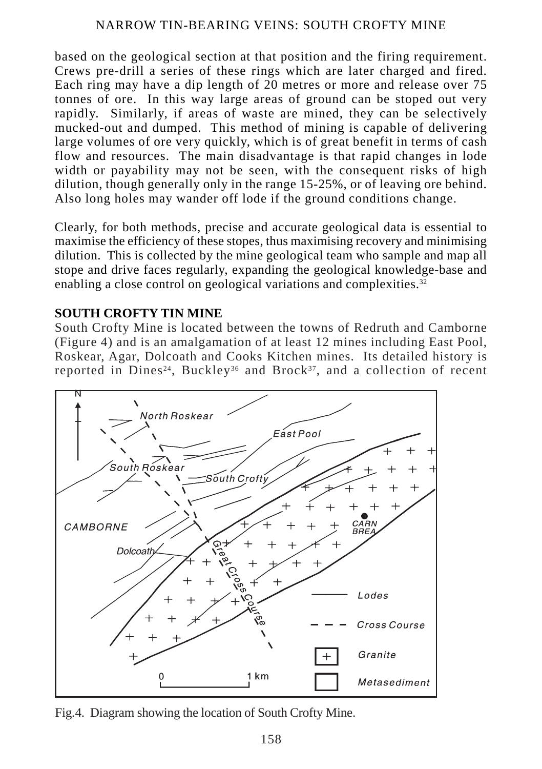based on the geological section at that position and the firing requirement. Crews pre-drill a series of these rings which are later charged and fired. Each ring may have a dip length of 20 metres or more and release over 75 tonnes of ore. In this way large areas of ground can be stoped out very rapidly. Similarly, if areas of waste are mined, they can be selectively mucked-out and dumped. This method of mining is capable of delivering large volumes of ore very quickly, which is of great benefit in terms of cash flow and resources. The main disadvantage is that rapid changes in lode width or payability may not be seen, with the consequent risks of high dilution, though generally only in the range 15-25%, or of leaving ore behind. Also long holes may wander off lode if the ground conditions change.

Clearly, for both methods, precise and accurate geological data is essential to maximise the efficiency of these stopes, thus maximising recovery and minimising dilution. This is collected by the mine geological team who sample and map all stope and drive faces regularly, expanding the geological knowledge-base and enabling a close control on geological variations and complexities.<sup>32</sup>

#### **SOUTH CROFTY TIN MINE**

South Crofty Mine is located between the towns of Redruth and Camborne (Figure 4) and is an amalgamation of at least 12 mines including East Pool, Roskear, Agar, Dolcoath and Cooks Kitchen mines. Its detailed history is reported in Dines<sup>24</sup>, Buckley<sup>36</sup> and Brock<sup>37</sup>, and a collection of recent



Fig.4. Diagram showing the location of South Crofty Mine.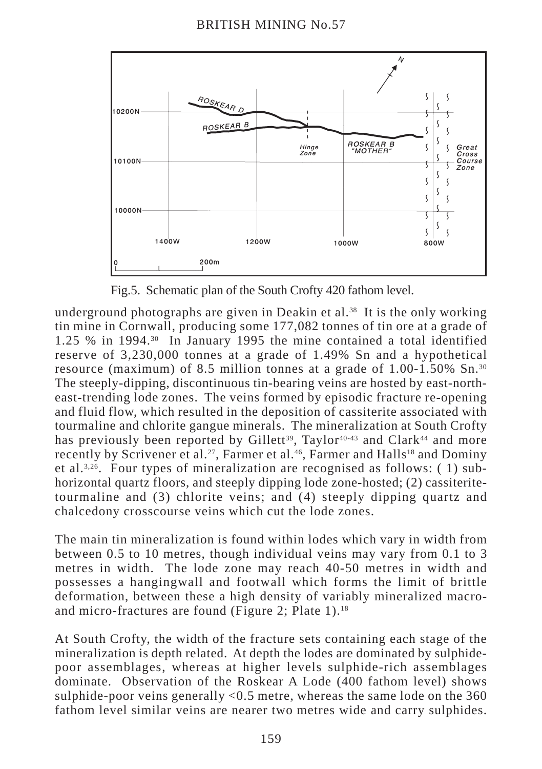

Fig.5. Schematic plan of the South Crofty 420 fathom level.

underground photographs are given in Deakin et al.<sup>38</sup> It is the only working tin mine in Cornwall, producing some 177,082 tonnes of tin ore at a grade of 1.25 % in 1994.30 In January 1995 the mine contained a total identified reserve of 3,230,000 tonnes at a grade of 1.49% Sn and a hypothetical resource (maximum) of 8.5 million tonnes at a grade of 1.00-1.50% Sn.30 The steeply-dipping, discontinuous tin-bearing veins are hosted by east-northeast-trending lode zones. The veins formed by episodic fracture re-opening and fluid flow, which resulted in the deposition of cassiterite associated with tourmaline and chlorite gangue minerals. The mineralization at South Crofty has previously been reported by Gillett<sup>39</sup>, Taylor<sup>40-43</sup> and Clark<sup>44</sup> and more recently by Scrivener et al.<sup>27</sup>, Farmer et al.<sup>46</sup>, Farmer and Halls<sup>18</sup> and Dominy et al.3,26. Four types of mineralization are recognised as follows: ( 1) subhorizontal quartz floors, and steeply dipping lode zone-hosted; (2) cassiteritetourmaline and (3) chlorite veins; and (4) steeply dipping quartz and chalcedony crosscourse veins which cut the lode zones.

The main tin mineralization is found within lodes which vary in width from between 0.5 to 10 metres, though individual veins may vary from 0.1 to 3 metres in width. The lode zone may reach 40-50 metres in width and possesses a hangingwall and footwall which forms the limit of brittle deformation, between these a high density of variably mineralized macroand micro-fractures are found (Figure 2; Plate 1).<sup>18</sup>

At South Crofty, the width of the fracture sets containing each stage of the mineralization is depth related. At depth the lodes are dominated by sulphidepoor assemblages, whereas at higher levels sulphide-rich assemblages dominate. Observation of the Roskear A Lode (400 fathom level) shows sulphide-poor veins generally <0.5 metre, whereas the same lode on the 360 fathom level similar veins are nearer two metres wide and carry sulphides.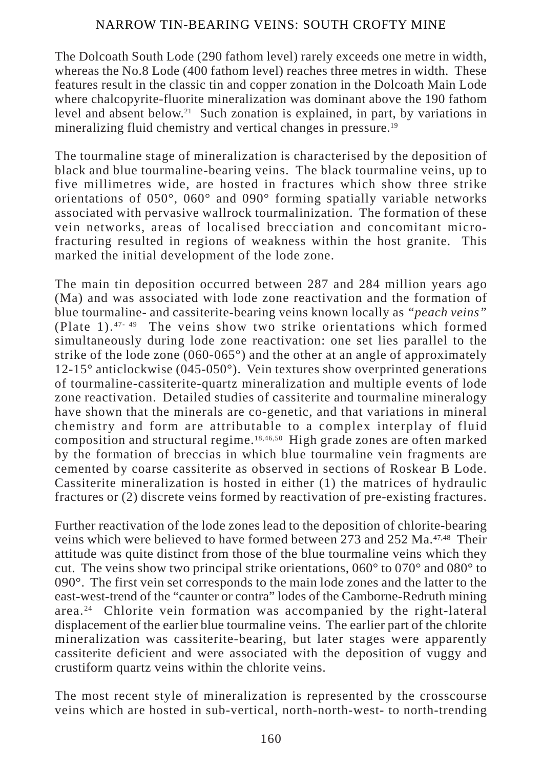The Dolcoath South Lode (290 fathom level) rarely exceeds one metre in width, whereas the No.8 Lode (400 fathom level) reaches three metres in width. These features result in the classic tin and copper zonation in the Dolcoath Main Lode where chalcopyrite-fluorite mineralization was dominant above the 190 fathom level and absent below.21 Such zonation is explained, in part, by variations in mineralizing fluid chemistry and vertical changes in pressure.<sup>19</sup>

The tourmaline stage of mineralization is characterised by the deposition of black and blue tourmaline-bearing veins. The black tourmaline veins, up to five millimetres wide, are hosted in fractures which show three strike orientations of 050°, 060° and 090° forming spatially variable networks associated with pervasive wallrock tourmalinization. The formation of these vein networks, areas of localised brecciation and concomitant microfracturing resulted in regions of weakness within the host granite. This marked the initial development of the lode zone.

The main tin deposition occurred between 287 and 284 million years ago (Ma) and was associated with lode zone reactivation and the formation of blue tourmaline- and cassiterite-bearing veins known locally as *"peach veins"* (Plate 1). 47- 49 The veins show two strike orientations which formed simultaneously during lode zone reactivation: one set lies parallel to the strike of the lode zone (060-065 $^{\circ}$ ) and the other at an angle of approximately 12-15° anticlockwise (045-050°). Vein textures show overprinted generations of tourmaline-cassiterite-quartz mineralization and multiple events of lode zone reactivation. Detailed studies of cassiterite and tourmaline mineralogy have shown that the minerals are co-genetic, and that variations in mineral chemistry and form are attributable to a complex interplay of fluid composition and structural regime.18,46,50 High grade zones are often marked by the formation of breccias in which blue tourmaline vein fragments are cemented by coarse cassiterite as observed in sections of Roskear B Lode. Cassiterite mineralization is hosted in either (1) the matrices of hydraulic fractures or (2) discrete veins formed by reactivation of pre-existing fractures.

Further reactivation of the lode zones lead to the deposition of chlorite-bearing veins which were believed to have formed between 273 and 252 Ma.47,48 Their attitude was quite distinct from those of the blue tourmaline veins which they cut. The veins show two principal strike orientations, 060° to 070° and 080° to 090°. The first vein set corresponds to the main lode zones and the latter to the east-west-trend of the "caunter or contra" lodes of the Camborne-Redruth mining area.24 Chlorite vein formation was accompanied by the right-lateral displacement of the earlier blue tourmaline veins. The earlier part of the chlorite mineralization was cassiterite-bearing, but later stages were apparently cassiterite deficient and were associated with the deposition of vuggy and crustiform quartz veins within the chlorite veins.

The most recent style of mineralization is represented by the crosscourse veins which are hosted in sub-vertical, north-north-west- to north-trending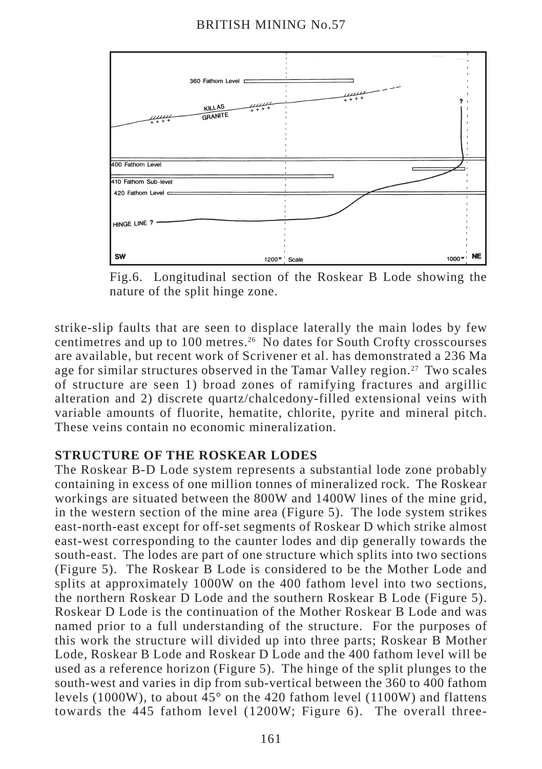

Fig.6. Longitudinal section of the Roskear B Lode showing the nature of the split hinge zone.

strike-slip faults that are seen to displace laterally the main lodes by few centimetres and up to 100 metres.26 No dates for South Crofty crosscourses are available, but recent work of Scrivener et al. has demonstrated a 236 Ma age for similar structures observed in the Tamar Valley region.<sup>27</sup> Two scales of structure are seen 1) broad zones of ramifying fractures and argillic alteration and 2) discrete quartz/chalcedony-filled extensional veins with variable amounts of fluorite, hematite, chlorite, pyrite and mineral pitch. These veins contain no economic mineralization.

# **STRUCTURE OF THE ROSKEAR LODES**

The Roskear B-D Lode system represents a substantial lode zone probably containing in excess of one million tonnes of mineralized rock. The Roskear workings are situated between the 800W and 1400W lines of the mine grid, in the western section of the mine area (Figure 5). The lode system strikes east-north-east except for off-set segments of Roskear D which strike almost east-west corresponding to the caunter lodes and dip generally towards the south-east. The lodes are part of one structure which splits into two sections (Figure 5). The Roskear B Lode is considered to be the Mother Lode and splits at approximately 1000W on the 400 fathom level into two sections, the northern Roskear D Lode and the southern Roskear B Lode (Figure 5). Roskear D Lode is the continuation of the Mother Roskear B Lode and was named prior to a full understanding of the structure. For the purposes of this work the structure will divided up into three parts; Roskear B Mother Lode, Roskear B Lode and Roskear D Lode and the 400 fathom level will be used as a reference horizon (Figure 5). The hinge of the split plunges to the south-west and varies in dip from sub-vertical between the 360 to 400 fathom levels (1000W), to about  $\overline{45}^{\circ}$  on the 420 fathom level (1100W) and flattens towards the 445 fathom level (1200W; Figure 6). The overall three-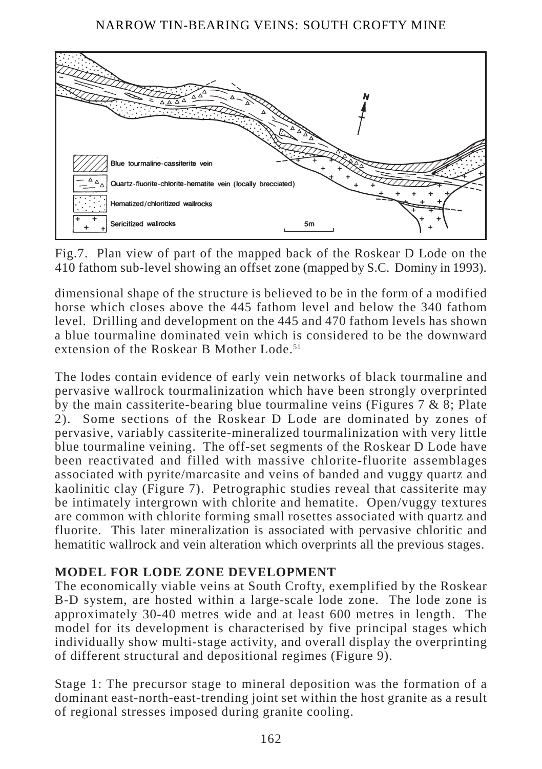

Fig.7. Plan view of part of the mapped back of the Roskear D Lode on the 410 fathom sub-level showing an offset zone (mapped by S.C. Dominy in 1993).

dimensional shape of the structure is believed to be in the form of a modified horse which closes above the 445 fathom level and below the 340 fathom level. Drilling and development on the 445 and 470 fathom levels has shown a blue tourmaline dominated vein which is considered to be the downward extension of the Roskear B Mother Lode<sup>51</sup>

The lodes contain evidence of early vein networks of black tourmaline and pervasive wallrock tourmalinization which have been strongly overprinted by the main cassiterite-bearing blue tourmaline veins (Figures  $7 \& 8$ ; Plate 2). Some sections of the Roskear D Lode are dominated by zones of pervasive, variably cassiterite-mineralized tourmalinization with very little blue tourmaline veining. The off-set segments of the Roskear D Lode have been reactivated and filled with massive chlorite-fluorite assemblages associated with pyrite/marcasite and veins of banded and vuggy quartz and kaolinitic clay (Figure 7). Petrographic studies reveal that cassiterite may be intimately intergrown with chlorite and hematite. Open/vuggy textures are common with chlorite forming small rosettes associated with quartz and fluorite. This later mineralization is associated with pervasive chloritic and hematitic wallrock and vein alteration which overprints all the previous stages.

# **MODEL FOR LODE ZONE DEVELOPMENT**

The economically viable veins at South Crofty, exemplified by the Roskear B-D system, are hosted within a large-scale lode zone. The lode zone is approximately 30-40 metres wide and at least 600 metres in length. The model for its development is characterised by five principal stages which individually show multi-stage activity, and overall display the overprinting of different structural and depositional regimes (Figure 9).

Stage 1: The precursor stage to mineral deposition was the formation of a dominant east-north-east-trending joint set within the host granite as a result of regional stresses imposed during granite cooling.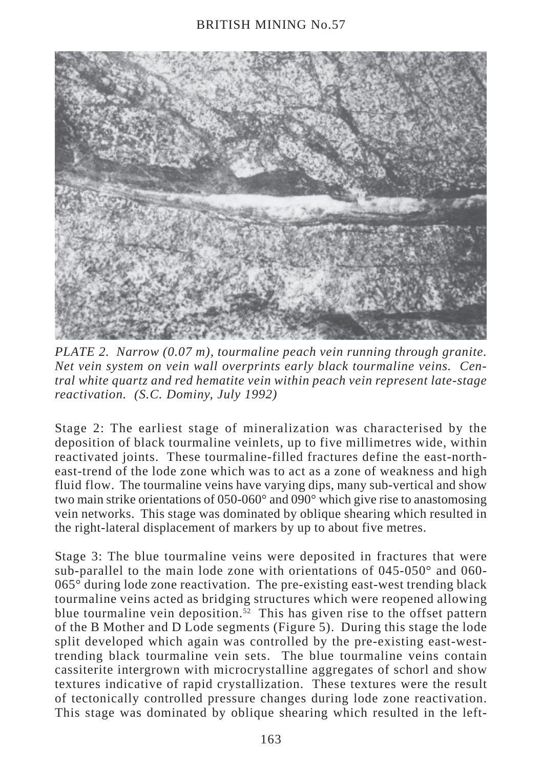

*PLATE 2. Narrow (0.07 m), tourmaline peach vein running through granite. Net vein system on vein wall overprints early black tourmaline veins. Central white quartz and red hematite vein within peach vein represent late-stage reactivation. (S.C. Dominy, July 1992)*

Stage 2: The earliest stage of mineralization was characterised by the deposition of black tourmaline veinlets, up to five millimetres wide, within reactivated joints. These tourmaline-filled fractures define the east-northeast-trend of the lode zone which was to act as a zone of weakness and high fluid flow. The tourmaline veins have varying dips, many sub-vertical and show two main strike orientations of 050-060° and 090° which give rise to anastomosing vein networks. This stage was dominated by oblique shearing which resulted in the right-lateral displacement of markers by up to about five metres.

Stage 3: The blue tourmaline veins were deposited in fractures that were sub-parallel to the main lode zone with orientations of 045-050° and 060- 065° during lode zone reactivation. The pre-existing east-west trending black tourmaline veins acted as bridging structures which were reopened allowing blue tourmaline vein deposition.<sup>52</sup> This has given rise to the offset pattern of the B Mother and D Lode segments (Figure 5). During this stage the lode split developed which again was controlled by the pre-existing east-westtrending black tourmaline vein sets. The blue tourmaline veins contain cassiterite intergrown with microcrystalline aggregates of schorl and show textures indicative of rapid crystallization. These textures were the result of tectonically controlled pressure changes during lode zone reactivation. This stage was dominated by oblique shearing which resulted in the left-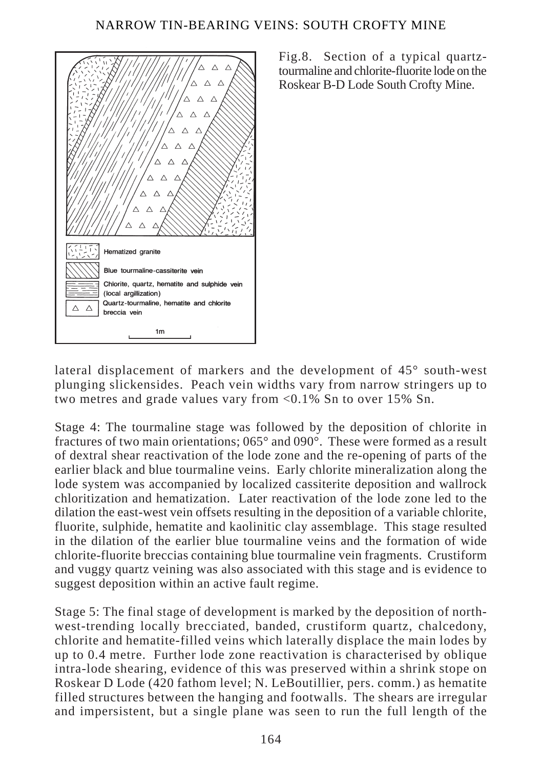

Fig.8. Section of a typical quartztourmaline and chlorite-fluorite lode on the Roskear B-D Lode South Crofty Mine.

lateral displacement of markers and the development of 45° south-west plunging slickensides. Peach vein widths vary from narrow stringers up to two metres and grade values vary from <0.1% Sn to over 15% Sn.

Stage 4: The tourmaline stage was followed by the deposition of chlorite in fractures of two main orientations; 065° and 090°. These were formed as a result of dextral shear reactivation of the lode zone and the re-opening of parts of the earlier black and blue tourmaline veins. Early chlorite mineralization along the lode system was accompanied by localized cassiterite deposition and wallrock chloritization and hematization. Later reactivation of the lode zone led to the dilation the east-west vein offsets resulting in the deposition of a variable chlorite, fluorite, sulphide, hematite and kaolinitic clay assemblage. This stage resulted in the dilation of the earlier blue tourmaline veins and the formation of wide chlorite-fluorite breccias containing blue tourmaline vein fragments. Crustiform and vuggy quartz veining was also associated with this stage and is evidence to suggest deposition within an active fault regime.

Stage 5: The final stage of development is marked by the deposition of northwest-trending locally brecciated, banded, crustiform quartz, chalcedony, chlorite and hematite-filled veins which laterally displace the main lodes by up to 0.4 metre. Further lode zone reactivation is characterised by oblique intra-lode shearing, evidence of this was preserved within a shrink stope on Roskear D Lode (420 fathom level; N. LeBoutillier, pers. comm.) as hematite filled structures between the hanging and footwalls. The shears are irregular and impersistent, but a single plane was seen to run the full length of the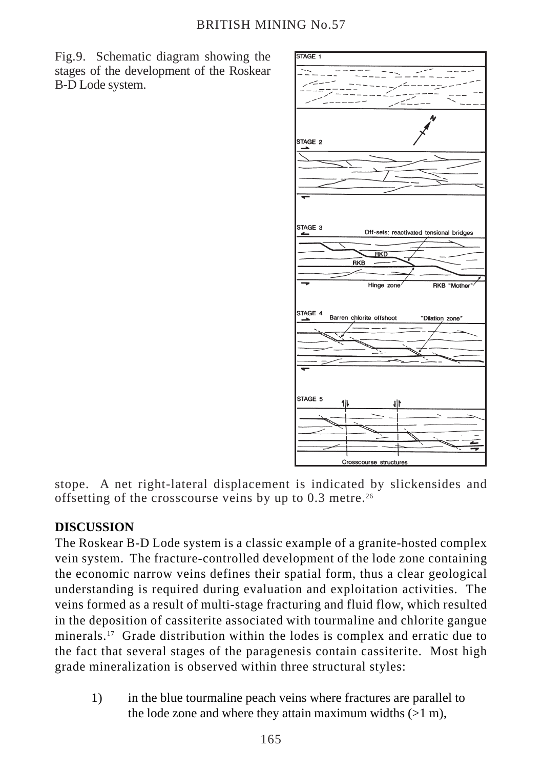Fig.9. Schematic diagram showing the stages of the development of the Roskear B-D Lode system.



stope. A net right-lateral displacement is indicated by slickensides and offsetting of the crosscourse veins by up to  $0.3$  metre.<sup>26</sup>

# **DISCUSSION**

The Roskear B-D Lode system is a classic example of a granite-hosted complex vein system. The fracture-controlled development of the lode zone containing the economic narrow veins defines their spatial form, thus a clear geological understanding is required during evaluation and exploitation activities. The veins formed as a result of multi-stage fracturing and fluid flow, which resulted in the deposition of cassiterite associated with tourmaline and chlorite gangue minerals.17 Grade distribution within the lodes is complex and erratic due to the fact that several stages of the paragenesis contain cassiterite. Most high grade mineralization is observed within three structural styles:

1) in the blue tourmaline peach veins where fractures are parallel to the lode zone and where they attain maximum widths  $(>1 \text{ m})$ ,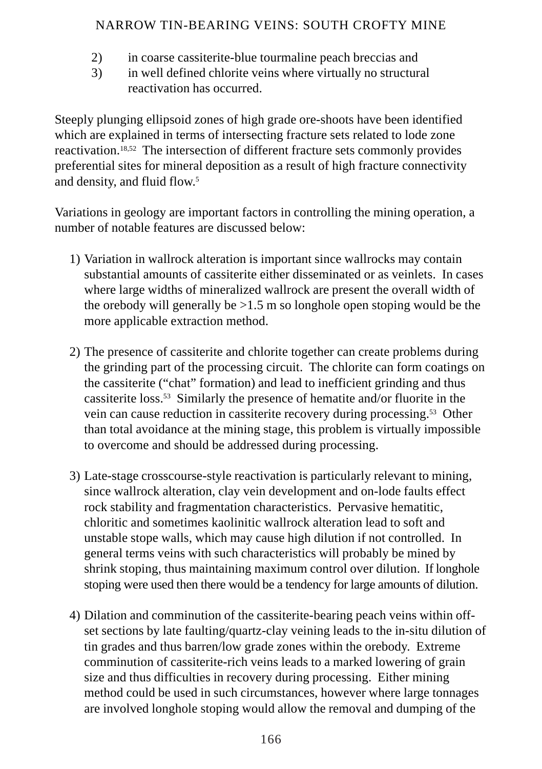- 2) in coarse cassiterite-blue tourmaline peach breccias and
- 3) in well defined chlorite veins where virtually no structural reactivation has occurred.

Steeply plunging ellipsoid zones of high grade ore-shoots have been identified which are explained in terms of intersecting fracture sets related to lode zone reactivation.18,52 The intersection of different fracture sets commonly provides preferential sites for mineral deposition as a result of high fracture connectivity and density, and fluid flow.<sup>5</sup>

Variations in geology are important factors in controlling the mining operation, a number of notable features are discussed below:

- 1) Variation in wallrock alteration is important since wallrocks may contain substantial amounts of cassiterite either disseminated or as veinlets. In cases where large widths of mineralized wallrock are present the overall width of the orebody will generally be  $>1.5$  m so longhole open stoping would be the more applicable extraction method.
- 2) The presence of cassiterite and chlorite together can create problems during the grinding part of the processing circuit. The chlorite can form coatings on the cassiterite ("chat" formation) and lead to inefficient grinding and thus cassiterite loss.53 Similarly the presence of hematite and/or fluorite in the vein can cause reduction in cassiterite recovery during processing.53 Other than total avoidance at the mining stage, this problem is virtually impossible to overcome and should be addressed during processing.
- 3) Late-stage crosscourse-style reactivation is particularly relevant to mining, since wallrock alteration, clay vein development and on-lode faults effect rock stability and fragmentation characteristics. Pervasive hematitic, chloritic and sometimes kaolinitic wallrock alteration lead to soft and unstable stope walls, which may cause high dilution if not controlled. In general terms veins with such characteristics will probably be mined by shrink stoping, thus maintaining maximum control over dilution. If longhole stoping were used then there would be a tendency for large amounts of dilution.
- 4) Dilation and comminution of the cassiterite-bearing peach veins within offset sections by late faulting/quartz-clay veining leads to the in-situ dilution of tin grades and thus barren/low grade zones within the orebody. Extreme comminution of cassiterite-rich veins leads to a marked lowering of grain size and thus difficulties in recovery during processing. Either mining method could be used in such circumstances, however where large tonnages are involved longhole stoping would allow the removal and dumping of the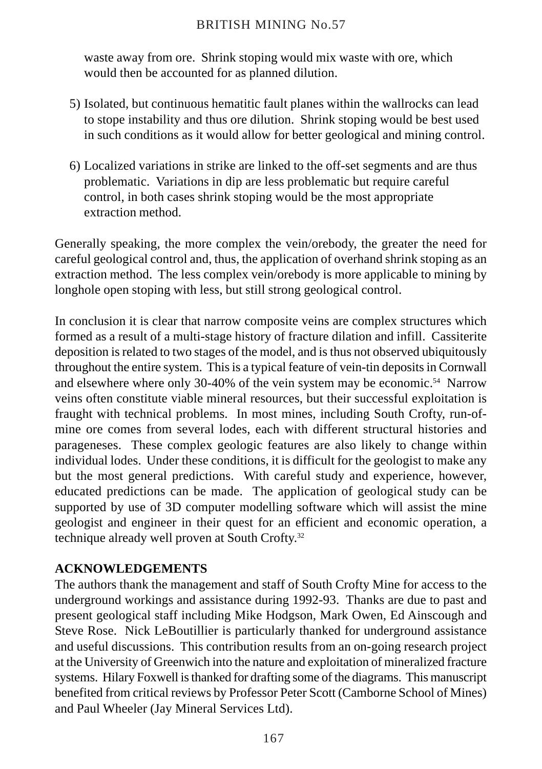## BRITISH MINING No.57

waste away from ore. Shrink stoping would mix waste with ore, which would then be accounted for as planned dilution.

- 5) Isolated, but continuous hematitic fault planes within the wallrocks can lead to stope instability and thus ore dilution. Shrink stoping would be best used in such conditions as it would allow for better geological and mining control.
- 6) Localized variations in strike are linked to the off-set segments and are thus problematic. Variations in dip are less problematic but require careful control, in both cases shrink stoping would be the most appropriate extraction method.

Generally speaking, the more complex the vein/orebody, the greater the need for careful geological control and, thus, the application of overhand shrink stoping as an extraction method. The less complex vein/orebody is more applicable to mining by longhole open stoping with less, but still strong geological control.

In conclusion it is clear that narrow composite veins are complex structures which formed as a result of a multi-stage history of fracture dilation and infill. Cassiterite deposition is related to two stages of the model, and is thus not observed ubiquitously throughout the entire system. This is a typical feature of vein-tin deposits in Cornwall and elsewhere where only 30-40% of the vein system may be economic.<sup>54</sup> Narrow veins often constitute viable mineral resources, but their successful exploitation is fraught with technical problems. In most mines, including South Crofty, run-ofmine ore comes from several lodes, each with different structural histories and parageneses. These complex geologic features are also likely to change within individual lodes. Under these conditions, it is difficult for the geologist to make any but the most general predictions. With careful study and experience, however, educated predictions can be made. The application of geological study can be supported by use of 3D computer modelling software which will assist the mine geologist and engineer in their quest for an efficient and economic operation, a technique already well proven at South Crofty.32

# **ACKNOWLEDGEMENTS**

The authors thank the management and staff of South Crofty Mine for access to the underground workings and assistance during 1992-93. Thanks are due to past and present geological staff including Mike Hodgson, Mark Owen, Ed Ainscough and Steve Rose. Nick LeBoutillier is particularly thanked for underground assistance and useful discussions. This contribution results from an on-going research project at the University of Greenwich into the nature and exploitation of mineralized fracture systems. Hilary Foxwell is thanked for drafting some of the diagrams. This manuscript benefited from critical reviews by Professor Peter Scott (Camborne School of Mines) and Paul Wheeler (Jay Mineral Services Ltd).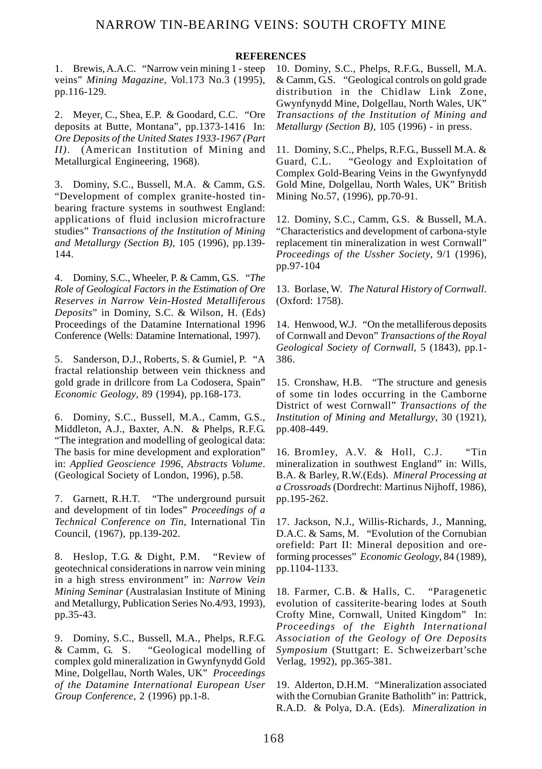#### **REFERENCES**

1. Brewis, A.A.C. "Narrow vein mining 1 - steep veins" *Mining Magazine*, Vol.173 No.3 (1995), pp.116-129.

2. Meyer, C., Shea, E.P. & Goodard, C.C. "Ore deposits at Butte, Montana", pp.1373-1416 In: *Ore Deposits of the United States 1933-1967 (Part II)*. (American Institution of Mining and Metallurgical Engineering, 1968).

3. Dominy, S.C., Bussell, M.A. & Camm, G.S. "Development of complex granite-hosted tinbearing fracture systems in southwest England: applications of fluid inclusion microfracture studies" *Transactions of the Institution of Mining and Metallurgy (Section B)*, 105 (1996), pp.139- 144.

4. Dominy, S.C., Wheeler, P. & Camm, G.S. "*The Role of Geological Factors in the Estimation of Ore Reserves in Narrow Vein-Hosted Metalliferous Deposits*" in Dominy, S.C. & Wilson, H. (Eds) Proceedings of the Datamine International 1996 Conference (Wells: Datamine International, 1997).

5. Sanderson, D.J., Roberts, S. & Gumiel, P. "A fractal relationship between vein thickness and gold grade in drillcore from La Codosera, Spain" *Economic Geology*, 89 (1994), pp.168-173.

6. Dominy, S.C., Bussell, M.A., Camm, G.S., Middleton, A.J., Baxter, A.N. & Phelps, R.F.G. "The integration and modelling of geological data: The basis for mine development and exploration" in: *Applied Geoscience 1996, Abstracts Volume*. (Geological Society of London, 1996), p.58.

7. Garnett, R.H.T. "The underground pursuit and development of tin lodes" *Proceedings of a Technical Conference on Tin*, International Tin Council, (1967), pp.139-202.

8. Heslop, T.G. & Dight, P.M. "Review of geotechnical considerations in narrow vein mining in a high stress environment" in: *Narrow Vein Mining Seminar* (Australasian Institute of Mining and Metallurgy, Publication Series No.4/93, 1993), pp.35-43.

9. Dominy, S.C., Bussell, M.A., Phelps, R.F.G. & Camm, G. S. "Geological modelling of complex gold mineralization in Gwynfynydd Gold Mine, Dolgellau, North Wales, UK" *Proceedings of the Datamine International European User Group Conference*, 2 (1996) pp.1-8.

10. Dominy, S.C., Phelps, R.F.G., Bussell, M.A. & Camm, G.S. "Geological controls on gold grade distribution in the Chidlaw Link Zone, Gwynfynydd Mine, Dolgellau, North Wales, UK" *Transactions of the Institution of Mining and Metallurgy (Section B)*, 105 (1996) - in press.

11. Dominy, S.C., Phelps, R.F.G., Bussell M.A. & Guard. C.L. "Geology and Exploitation of "Geology and Exploitation of Complex Gold-Bearing Veins in the Gwynfynydd Gold Mine, Dolgellau, North Wales, UK" British Mining No.57, (1996), pp.70-91.

12. Dominy, S.C., Camm, G.S. & Bussell, M.A. "Characteristics and development of carbona-style replacement tin mineralization in west Cornwall" *Proceedings of the Ussher Society*, 9/1 (1996), pp.97-104

13. Borlase, W. *The Natural History of Cornwall*. (Oxford: 1758).

14. Henwood, W.J. "On the metalliferous deposits of Cornwall and Devon" *Transactions of the Royal Geological Society of Cornwall*, 5 (1843), pp.1- 386.

15. Cronshaw, H.B. "The structure and genesis of some tin lodes occurring in the Camborne District of west Cornwall" *Transactions of the Institution of Mining and Metallurgy*, 30 (1921), pp.408-449.

16. Bromley, A.V. & Holl, C.J. "Tin mineralization in southwest England" in: Wills, B.A. & Barley, R.W.(Eds). *Mineral Processing at a Crossroads* (Dordrecht: Martinus Nijhoff, 1986), pp.195-262.

17. Jackson, N.J., Willis-Richards, J., Manning, D.A.C. & Sams, M. "Evolution of the Cornubian orefield: Part II: Mineral deposition and oreforming processes" *Economic Geology*, 84 (1989), pp.1104-1133.

18. Farmer, C.B. & Halls, C. "Paragenetic evolution of cassiterite-bearing lodes at South Crofty Mine, Cornwall, United Kingdom" In: *Proceedings of the Eighth International Association of the Geology of Ore Deposits Symposium* (Stuttgart: E. Schweizerbart'sche Verlag, 1992), pp.365-381.

19. Alderton, D.H.M. "Mineralization associated with the Cornubian Granite Batholith" in: Pattrick, R.A.D. & Polya, D.A. (Eds). *Mineralization in*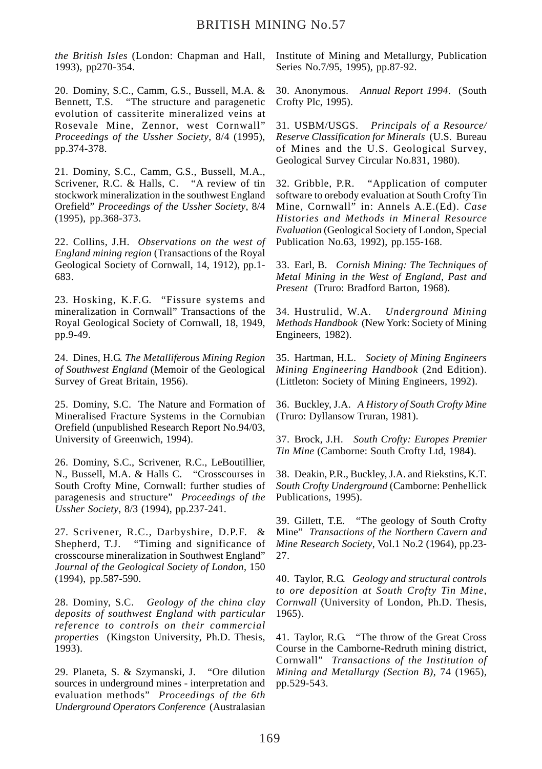*the British Isles* (London: Chapman and Hall, 1993), pp270-354.

20. Dominy, S.C., Camm, G.S., Bussell, M.A. & Bennett, T.S. "The structure and paragenetic evolution of cassiterite mineralized veins at Rosevale Mine, Zennor, west Cornwall" *Proceedings of the Ussher Society*, 8/4 (1995), pp.374-378.

21. Dominy, S.C., Camm, G.S., Bussell, M.A., Scrivener, R.C. & Halls, C. "A review of tin stockwork mineralization in the southwest England Orefield" *Proceedings of the Ussher Society*, 8/4 (1995), pp.368-373.

22. Collins, J.H. *Observations on the west of England mining region* (Transactions of the Royal Geological Society of Cornwall, 14, 1912), pp.1- 683.

23. Hosking, K.F.G. "Fissure systems and mineralization in Cornwall" Transactions of the Royal Geological Society of Cornwall, 18, 1949, pp.9-49.

24. Dines, H.G. *The Metalliferous Mining Region of Southwest England* (Memoir of the Geological Survey of Great Britain, 1956).

25. Dominy, S.C. The Nature and Formation of Mineralised Fracture Systems in the Cornubian Orefield (unpublished Research Report No.94/03, University of Greenwich, 1994).

26. Dominy, S.C., Scrivener, R.C., LeBoutillier, N., Bussell, M.A. & Halls C. "Crosscourses in South Crofty Mine, Cornwall: further studies of paragenesis and structure" *Proceedings of the Ussher Society*, 8/3 (1994), pp.237-241.

27. Scrivener, R.C., Darbyshire, D.P.F. & Shepherd, T.J. "Timing and significance of crosscourse mineralization in Southwest England" *Journal of the Geological Society of London*, 150 (1994), pp.587-590.

28. Dominy, S.C. *Geology of the china clay deposits of southwest England with particular reference to controls on their commercial properties* (Kingston University, Ph.D. Thesis, 1993).

29. Planeta, S. & Szymanski, J. "Ore dilution sources in underground mines - interpretation and evaluation methods" *Proceedings of the 6th Underground Operators Conference* (Australasian

Institute of Mining and Metallurgy, Publication Series No.7/95, 1995), pp.87-92.

30. Anonymous. *Annual Report 1994*. (South Crofty Plc, 1995).

31. USBM/USGS. *Principals of a Resource/ Reserve Classification for Minerals* (U.S. Bureau of Mines and the U.S. Geological Survey, Geological Survey Circular No.831, 1980).

32. Gribble, P.R. "Application of computer software to orebody evaluation at South Crofty Tin Mine, Cornwall" in: Annels A.E.(Ed). *Case Histories and Methods in Mineral Resource Evaluation* (Geological Society of London, Special Publication No.63, 1992), pp.155-168.

33. Earl, B. *Cornish Mining: The Techniques of Metal Mining in the West of England, Past and Present* (Truro: Bradford Barton, 1968).

34. Hustrulid, W.A. *Underground Mining Methods Handbook* (New York: Society of Mining Engineers, 1982).

35. Hartman, H.L. *Society of Mining Engineers Mining Engineering Handbook* (2nd Edition). (Littleton: Society of Mining Engineers, 1992).

36. Buckley, J.A. *A History of South Crofty Mine* (Truro: Dyllansow Truran, 1981).

37. Brock, J.H. *South Crofty: Europes Premier Tin Mine* (Camborne: South Crofty Ltd, 1984).

38. Deakin, P.R., Buckley, J.A. and Riekstins, K.T. *South Crofty Underground* (Camborne: Penhellick Publications, 1995).

39. Gillett, T.E. "The geology of South Crofty Mine" *Transactions of the Northern Cavern and Mine Research Society*, Vol.1 No.2 (1964), pp.23- 27.

40. Taylor, R.G. *Geology and structural controls to ore deposition at South Crofty Tin Mine, Cornwall* (University of London, Ph.D. Thesis, 1965).

41. Taylor, R.G. "The throw of the Great Cross Course in the Camborne-Redruth mining district, Cornwall" *Transactions of the Institution of Mining and Metallurgy (Section B)*, 74 (1965), pp.529-543.